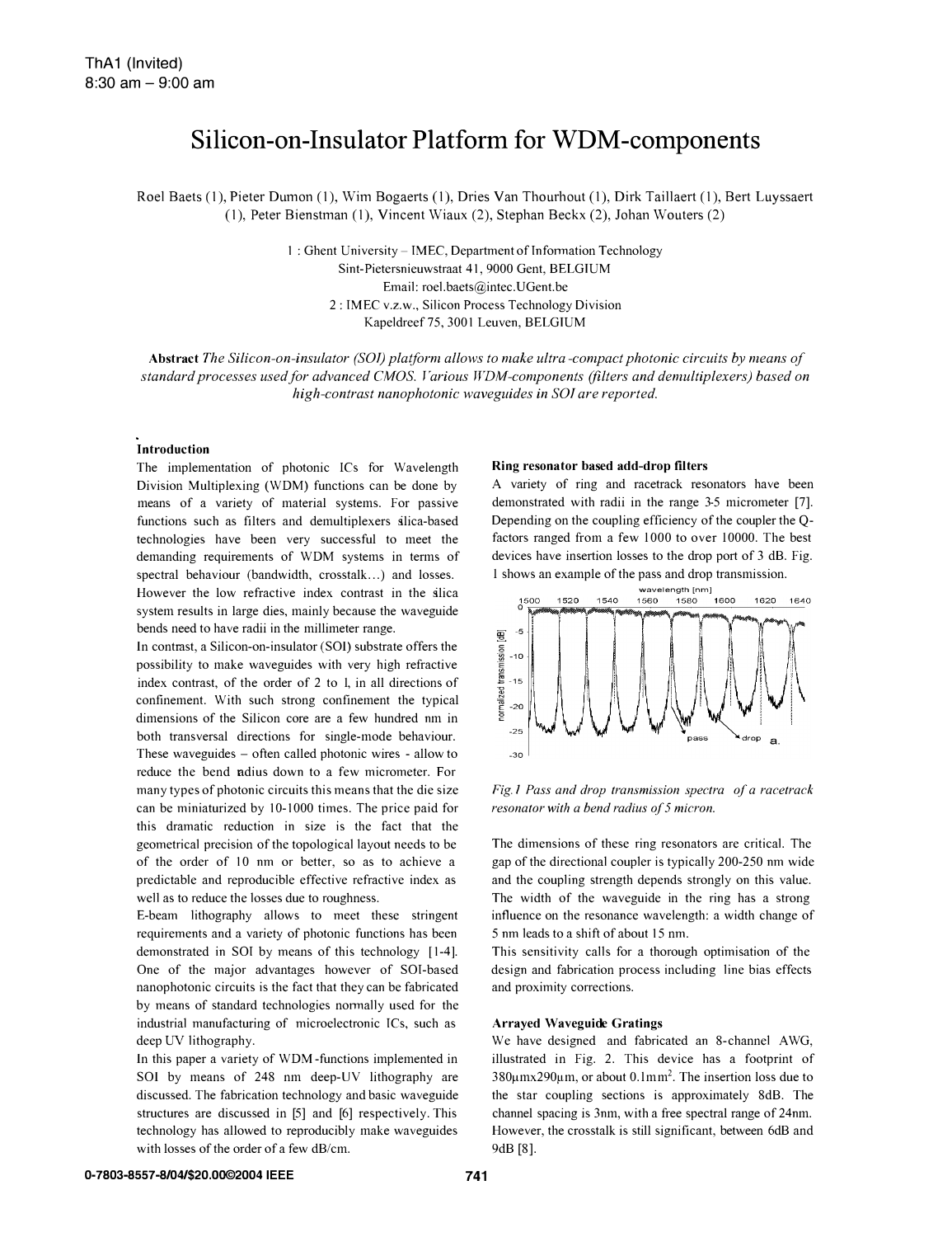# Silicon-on-Insulator Platform for WDM -components

Roel Baets (I), Pieter Dumon (I), Wim Bogaerts (I), Dries Van Thourhout (I), Dirk Taillaert (I), Bert Luyssaert (I), Peter Bienstman (I), Vincent Wiaux (2), Stephan Beckx (2), Iohan Wouters (2)

> 1 : Ghent University - IMEC, Department of Information Technology Sint-Pietersnieuwstraat 41, 9000 Gent, BELGIUM Email: roel.baets@intec.UGent.be 2 : TMEC v.z.w., Silicon Process Technology Division Kapeldreef 75, 3001 Leuven, BELGIUM

Abstract The Silicon-on-insulator (SOl) platform allows to make ultra -compact photonic circuits by means of standard processes used for advanced CMOS. Various WDM-components (filters and demultiplexers) based on high-contrast nanophotonic waveguides in SOl are reported.

#### Introduction

The implementation of photonic ICs for Wavelength Division Multiplexing (WDM) functions can be done by means of a variety of material systems. For passive functions such as filters and demultiplexers alica-based technologies have been very successful to meet the demanding requirements of WDM systems in terms of spectral behaviour (bandwidth, crosstalk...) and losses. However the low refractive index contrast in the alica system results in large dies, mainly because the waveguide bends need to have radii in the millimeter range.

In contmst, a Silicon-on-insulator (SOl) substrate offers the possibility to make waveguides with very high refractive index contrast, of the order of 2 to 1, in all directions of confinement. With such strong confinement the typical dimensions of the Silicon core are a few hundred nm in both transversal directions for single-mode behaviour. These waveguides - often called photonic wires - allow to reduce the bend ndius down to a few micrometer. For many types of photonic circuits this means that the die size can be miniaturized by 10-1000 times. The price paid for this dramatic reduction in size is the fact that the geometrical precision of the topological layout needs to be of the order of 10 nm or better, so as to achieve a predictable and reproducible effective refractive index as well as to reduce the losses due to roughness.

E-beam lithography allows to meet these stringent requirements and a variety of photonic functions has been demonstrated in SOT by means of this technology [1-4]. One of the major advantages however of SOT-based nanophotonic circuits is the fact that they can be fabricated by means of standard technologies nonnally used for the industrial manufacturing of microelectronic TCs, such as deep UV lithography.

In this paper a variety of WDM -functions implemented in SOl by means of 248 nm deep-UV lithography are discussed. The fabrication technology and basic waveguide structures are discussed in [5] and [6] respectively. This technology has allowed to reproducibly make waveguides with losses of the order of a few dB/cm.

### Ring resonator based add-drop filters

A variety of ring and racetrack resonators have been demonstrated with radii in the range 3-5 micrometer [7]. Depending on the coupling efficiency of the coupler the Qfactors ranged from a few 1000 to over 10000. The best devices have insertion losses to the drop port of 3 dB. Fig. 1 shows an example of the pass and drop transmission.



Fig.l Pass and drop transmission spectra of a racetrack resonator with a bend radius of 5 micron.

The dimensions of these ring resonators are critical. The gap of the directional coupler is typically 200-250 nm wide and the coupling strength depends strongly on this value. The width of the waveguide in the ring has a strong influence on the resonance wavelength: a width change of 5 nm leads to a shift of about 15 nm.

This sensitivity calls for a thorough optimisation of the design and fabrication process including line bias effects and proximity corrections.

# Arrayed Waveguide Gratings

We have designed and fabricated an 8-channel AWG, illustrated in Fig. 2. This device has a footprint of  $380 \mu$ mx290 $\mu$ m, or about 0.1mm<sup>2</sup>. The insertion loss due to the star coupling sections is approximately 8dB. The channel spacing is 3nm, with a free spectral range of 24nm. However, the crosstalk is still significant, between 6dB and 9dB [8].